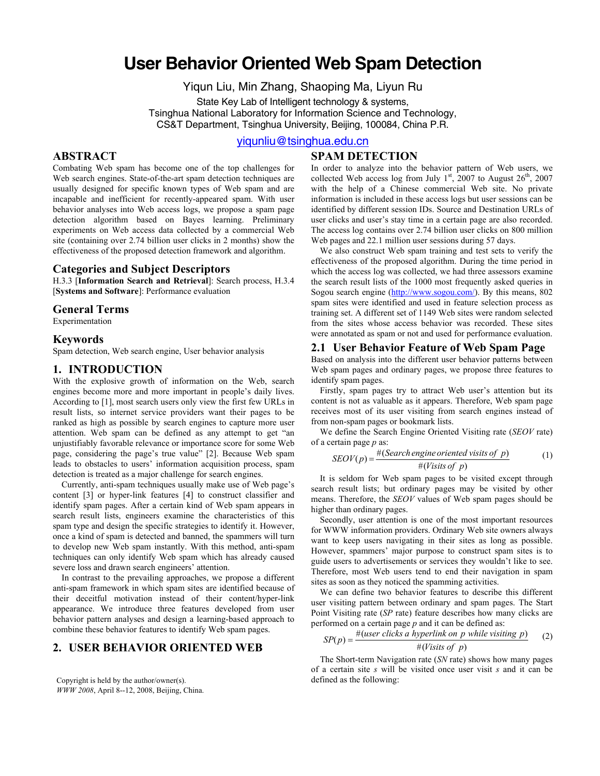# **User Behavior Oriented Web Spam Detection**

Yiqun Liu, Min Zhang, Shaoping Ma, Liyun Ru

State Key Lab of Intelligent technology & systems,

Tsinghua National Laboratory for Information Science and Technology, CS&T Department, Tsinghua University, Beijing, 100084, China P.R.

# [yiqunliu@tsinghua.edu.cn](mailto:yiqunliu@tsinghua.edu.cn)

### **SPAM DETECTION**

# **ABSTRACT**

Combating Web spam has become one of the top challenges for Web search engines. State-of-the-art spam detection techniques are usually designed for specific known types of Web spam and are incapable and inefficient for recently-appeared spam. With user behavior analyses into Web access logs, we propose a spam page detection algorithm based on Bayes learning. Preliminary experiments on Web access data collected by a commercial Web site (containing over 2.74 billion user clicks in 2 months) show the effectiveness of the proposed detection framework and algorithm.

#### **Categories and Subject Descriptors**

H.3.3 [**Information Search and Retrieval**]: Search process, H.3.4 [**Systems and Software**]: Performance evaluation

#### **General Terms**

Experimentation

#### **Keywords**

Spam detection, Web search engine, User behavior analysis

#### **1. INTRODUCTION**

With the explosive growth of information on the Web, search engines become more and more important in people's daily lives. According to [1], most search users only view the first few URLs in result lists, so internet service providers want their pages to be ranked as high as possible by search engines to capture more user attention. Web spam can be defined as any attempt to get "an unjustifiably favorable relevance or importance score for some Web page, considering the page's true value" [\[2\].](#page-1-0) Because Web spam leads to obstacles to users' information acquisition process, spam detection is treated as a major challenge for search engines.

Currently, anti-spam techniques usually make use of Web page's content [3] or hyper-link features [4] to construct classifier and identify spam pages. After a certain kind of Web spam appears in search result lists, engineers examine the characteristics of this spam type and design the specific strategies to identify it. However, once a kind of spam is detected and banned, the spammers will turn to develop new Web spam instantly. With this method, anti-spam techniques can only identify Web spam which has already caused severe loss and drawn search engineers' attention.

In contrast to the prevailing approaches, we propose a different anti-spam framework in which spam sites are identified because of their deceitful motivation instead of their content/hyper-link appearance. We introduce three features developed from user behavior pattern analyses and design a learning-based approach to combine these behavior features to identify Web spam pages.

## **2. USER BEHAVIOR ORIENTED WEB**

Copyright is held by the author/owner(s). defined as the following: *WWW 2008*, April 8--12, 2008, Beijing, China.

In order to analyze into the behavior pattern of Web users, we collected Web access log from July  $1<sup>st</sup>$ , 2007 to August  $26<sup>th</sup>$ , 2007 with the help of a Chinese commercial Web site. No private information is included in these access logs but user sessions can be identified by different session IDs. Source and Destination URLs of user clicks and user's stay time in a certain page are also recorded. The access log contains over 2.74 billion user clicks on 800 million Web pages and 22.1 million user sessions during 57 days.

We also construct Web spam training and test sets to verify the effectiveness of the proposed algorithm. During the time period in which the access log was collected, we had three assessors examine the search result lists of the 1000 most frequently asked queries in Sogou search engine [\(http://www.sogou.com/\)](http://www.sogou.com/). By this means, 802 spam sites were identified and used in feature selection process as training set. A different set of 1149 Web sites were random selected from the sites whose access behavior was recorded. These sites were annotated as spam or not and used for performance evaluation.

#### **2.1 User Behavior Feature of Web Spam Page**

Based on analysis into the different user behavior patterns between Web spam pages and ordinary pages, we propose three features to identify spam pages.

Firstly, spam pages try to attract Web user's attention but its content is not as valuable as it appears. Therefore, Web spam page receives most of its user visiting from search engines instead of from non-spam pages or bookmark lists.

We define the Search Engine Oriented Visiting rate (*SEOV* rate) of a certain page *p* as:

$$
SEOV(p) = \frac{\#(Search \, engine \, oriented \, visits \, of \, p)}{\#(Visits \, of \, p)}\tag{1}
$$

It is seldom for Web spam pages to be visited except through search result lists; but ordinary pages may be visited by other means. Therefore, the *SEOV* values of Web spam pages should be higher than ordinary pages.

Secondly, user attention is one of the most important resources for WWW information providers. Ordinary Web site owners always want to keep users navigating in their sites as long as possible. However, spammers' major purpose to construct spam sites is to guide users to advertisements or services they wouldn't like to see. Therefore, most Web users tend to end their navigation in spam sites as soon as they noticed the spamming activities.

We can define two behavior features to describe this different user visiting pattern between ordinary and spam pages. The Start Point Visiting rate (*SP* rate) feature describes how many clicks are performed on a certain page *p* and it can be defined as:

$$
SP(p) = \frac{\#(user \: clicks \: a \: hyperlink \: on \: p \: while \: visiting \: p)}{\#(Visits \: of \: p)} \tag{2}
$$

The Short-term Navigation rate (*SN* rate) shows how many pages of a certain site *s* will be visited once user visit *s* and it can be